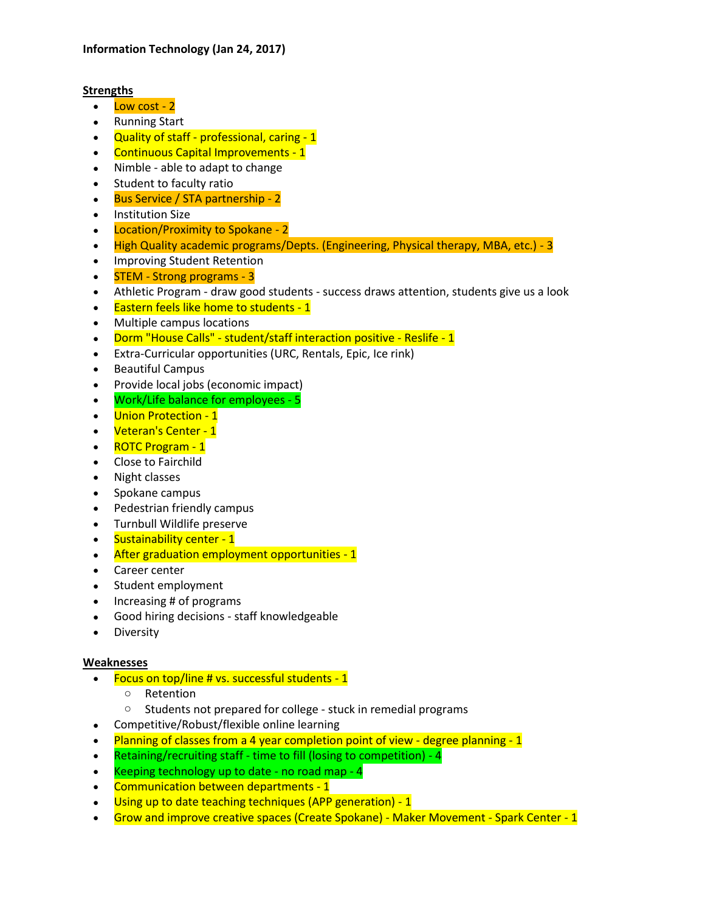# **Strengths**

- $\bullet$  Low cost 2
- Running Start
- Quality of staff professional, caring 1
- Continuous Capital Improvements 1
- Nimble able to adapt to change
- Student to faculty ratio
- Bus Service / STA partnership 2
- Institution Size
- Location/Proximity to Spokane 2
- High Quality academic programs/Depts. (Engineering, Physical therapy, MBA, etc.) 3
- Improving Student Retention
- STEM Strong programs 3
- Athletic Program draw good students success draws attention, students give us a look
- Eastern feels like home to students 1
- Multiple campus locations
- Dorm "House Calls" student/staff interaction positive Reslife 1
- Extra-Curricular opportunities (URC, Rentals, Epic, Ice rink)
- Beautiful Campus
- Provide local jobs (economic impact)
- Work/Life balance for employees 5
- Union Protection 1
- Veteran's Center 1
- ROTC Program 1
- Close to Fairchild
- Night classes
- Spokane campus
- Pedestrian friendly campus
- Turnbull Wildlife preserve
- Sustainability center 1
- After graduation employment opportunities 1
- Career center
- Student employment
- Increasing # of programs
- Good hiring decisions staff knowledgeable
- Diversity

# **Weaknesses**

- Focus on top/line # vs. successful students 1
	- o Retention
	- o Students not prepared for college stuck in remedial programs
- Competitive/Robust/flexible online learning
- Planning of classes from a 4 year completion point of view degree planning 1
- Retaining/recruiting staff time to fill (losing to competition)  $4$
- Keeping technology up to date no road map 4
- Communication between departments 1
- Using up to date teaching techniques (APP generation) 1
- Grow and improve creative spaces (Create Spokane) Maker Movement Spark Center 1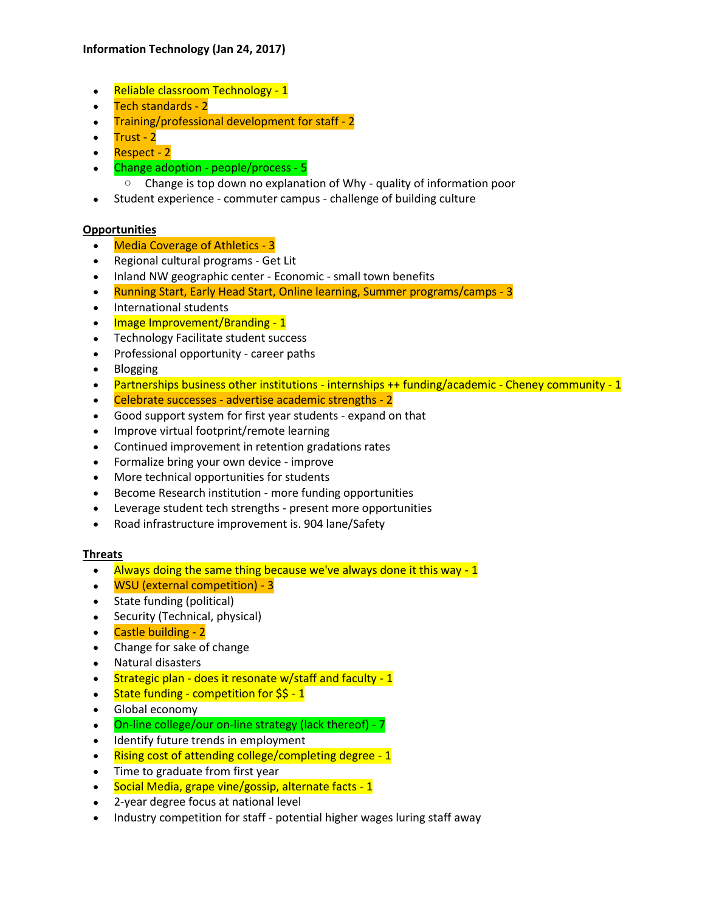# **Information Technology (Jan 24, 2017)**

- Reliable classroom Technology 1
- Tech standards 2
- Training/professional development for staff 2
- Trust 2
- Respect 2
- Change adoption people/process 5
	- o Change is top down no explanation of Why quality of information poor
- Student experience commuter campus challenge of building culture

#### **Opportunities**

- Media Coverage of Athletics 3
- Regional cultural programs Get Lit
- Inland NW geographic center Economic small town benefits
- Running Start, Early Head Start, Online learning, Summer programs/camps 3
- International students
- Image Improvement/Branding 1
- Technology Facilitate student success
- Professional opportunity career paths
- Blogging
- Partnerships business other institutions internships ++ funding/academic Cheney community 1
- Celebrate successes advertise academic strengths 2
- Good support system for first year students expand on that
- Improve virtual footprint/remote learning
- Continued improvement in retention gradations rates
- Formalize bring your own device improve
- More technical opportunities for students
- Become Research institution more funding opportunities
- Leverage student tech strengths present more opportunities
- Road infrastructure improvement is. 904 lane/Safety

# **Threats**

- Always doing the same thing because we've always done it this way 1
- WSU (external competition) 3
- State funding (political)
- Security (Technical, physical)
- Castle building 2
- Change for sake of change
- Natural disasters
- Strategic plan does it resonate w/staff and faculty 1
- $\cdot$  State funding competition for \$\$ 1
- Global economy
- On-line college/our on-line strategy (lack thereof) 7
- Identify future trends in employment
- Rising cost of attending college/completing degree 1
- Time to graduate from first year
- Social Media, grape vine/gossip, alternate facts 1
- 2-year degree focus at national level
- Industry competition for staff potential higher wages luring staff away